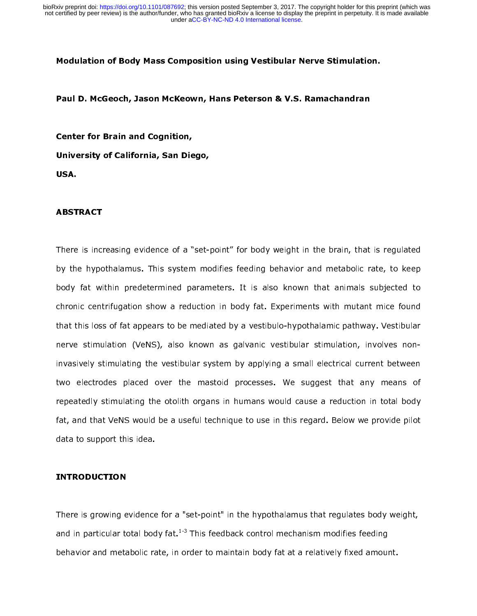### Modulation of Body Mass Composition using Vestibular Nerve Stimulation.

#### Paul D. McGeoch, Jason McKeown, Hans Peterson & V.S. Ramachandran

Center for Brain and Cognition, University of California, San Diego, USA.

#### ABSTRACT

There is increasing evidence of a "set-point" for body weight in the brain, that is regulated by the hypothalamus. This system modifies feeding behavior and metabolic rate, to keep body fat within predetermined parameters. It is also known that animals subjected to chronic centrifugation show a reduction in body fat. Experiments with mutant mice found that this loss of fat appears to be mediated by a vestibulo-hypothalamic pathway. Vestibular nerve stimulation (VeNS), also known as galvanic vestibular stimulation, involves noninvasively stimulating the vestibular system by applying a small electrical current between two electrodes placed over the mastoid processes. We suggest that any means of repeatedly stimulating the otolith organs in humans would cause a reduction in total body fat, and that VeNS would be a useful technique to use in this regard. Below we provide pilot data to support this idea.

#### INTRODUCTION

There is growing evidence for a "set-point" in the hypothalamus that regulates body weight, and in particular total body fat.<sup>1-3</sup> This feedback control mechanism modifies feeding behavior and metabolic rate, in order to maintain body fat at a relatively fixed amount.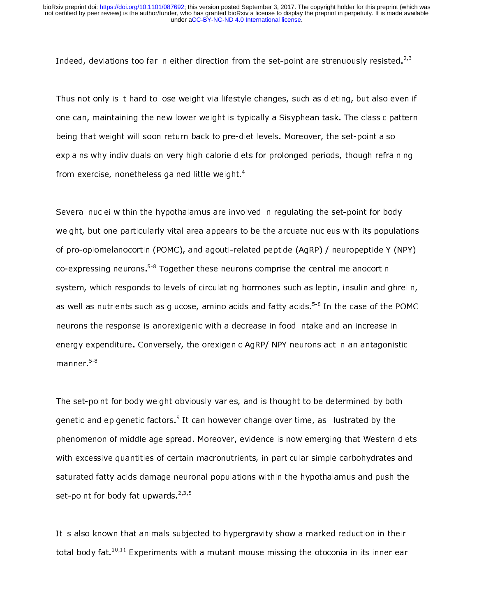Indeed, deviations too far in either direction from the set-point are strenuously resisted.<sup>2,3</sup>

Thus not only is it hard to lose weight via lifestyle changes, such as dieting, but also even if one can, maintaining the new lower weight is typically a Sisyphean task. The classic pattern being that weight will soon return back to pre-diet levels. Moreover, the set-point also explains why individuals on very high calorie diets for prolonged periods, though refraining from exercise, nonetheless gained little weight. $^{\text{4}}$ 

Several nuclei within the hypothalamus are involved in regulating the set-point for body weight, but one particularly vital area appears to be the arcuate nucleus with its populations of pro-opiomelanocortin (POMC), and agouti-related peptide (AgRP) / neuropeptide Y (NPY) co-expressing neurons.<sup>5-8</sup> Together these neurons comprise the central melanocortin system, which responds to levels of circulating hormones such as leptin, insulin and ghrelin, as well as nutrients such as glucose, amino acids and fatty acids.<sup>5-8</sup> In the case of the POMC neurons the response is anorexigenic with a decrease in food intake and an increase in energy expenditure. Conversely, the orexigenic AgRP/ NPY neurons act in an antagonistic manner.<sup>5-8</sup>

The set-point for body weight obviously varies, and is thought to be determined by both genetic and epigenetic factors.<sup>9</sup> It can however change over time, as illustrated by the phenomenon of middle age spread. Moreover, evidence is now emerging that Western diets with excessive quantities of certain macronutrients, in particular simple carbohydrates and saturated fatty acids damage neuronal populations within the hypothalamus and push the set-point for body fat upwards.  $2,3,5$ 

It is also known that animals subjected to hypergravity show a marked reduction in their total body fat.<sup>10,11</sup> Experiments with a mutant mouse missing the otoconia in its inner ear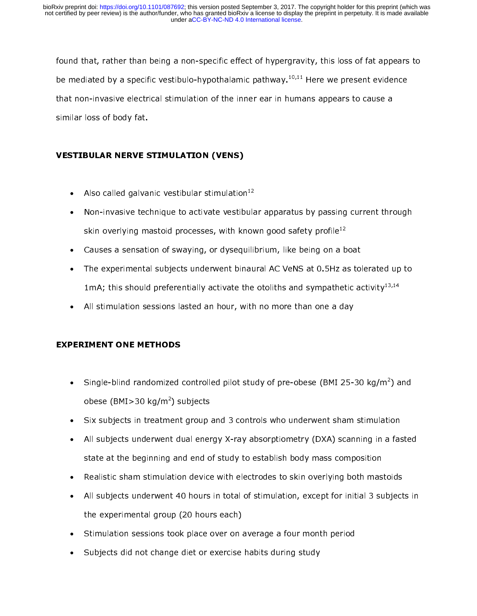found that, rather than being a non-specific effect of hypergravity, this loss of fat appears to be mediated by a specific vestibulo-hypothalamic pathway.<sup>10,11</sup> Here we present evidence that non-invasive electrical stimulation of the inner ear in humans appears to cause a similar loss of body fat.

## VESTIBULAR NERVE STIMULATION (VENS)

- Also called galvanic vestibular stimulation $^{12}$
- Non-invasive technique to activate vestibular apparatus by passing current through skin overlying mastoid processes, with known good safety profile<sup>12</sup>
- Causes a sensation of swaying, or dysequilibrium, like being on a boat
- The experimental subjects underwent binaural AC VeNS at 0.5Hz as tolerated up to 1mA; this should preferentially activate the otoliths and sympathetic activity<sup>13,14</sup>
- All stimulation sessions lasted an hour, with no more than one a day

# EXPERIMENT ONE METHODS

- Single-blind randomized controlled pilot study of pre-obese (BMI 25-30 kg/m<sup>2</sup>) and obese (BMI>30 kg/m²) subjects
- Six subjects in treatment group and 3 controls who underwent sham stimulation
- All subjects underwent dual energy X-ray absorptiometry (DXA) scanning in a fasted state at the beginning and end of study to establish body mass composition
- Realistic sham stimulation device with electrodes to skin overlying both mastoids
- All subjects underwent 40 hours in total of stimulation, except for initial 3 subjects in the experimental group (20 hours each)
- Stimulation sessions took place over on average a four month period
- Subjects did not change diet or exercise habits during study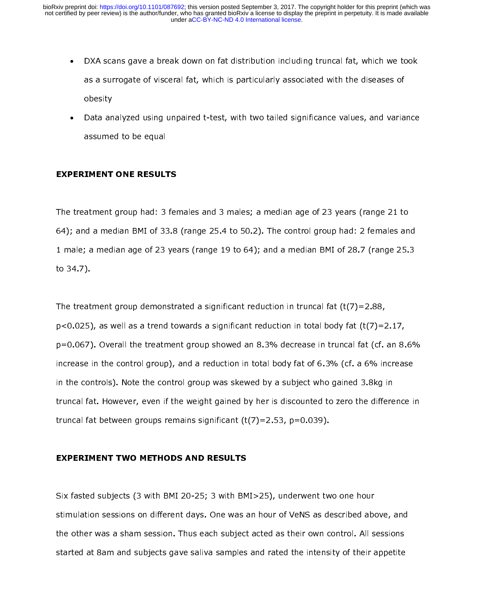- DXA scans gave a break down on fat distribution including truncal fat, which we took as a surrogate of visceral fat, which is particularly associated with the diseases of obesity
- Data analyzed using unpaired t-test, with two tailed significance values, and variance assumed to be equal

### EXPERIMENT ONE RESULTS

The treatment group had: 3 females and 3 males; a median age of 23 years (range 21 to 64); and a median BMI of 33.8 (range 25.4 to 50.2). The control group had: 2 females and 1 male; a median age of 23 years (range 19 to 64); and a median BMI of 28.7 (range 25.3 to 34.7).

The treatment group demonstrated a significant reduction in truncal fat (t(7)=2.88,  $p$ <0.025), as well as a trend towards a significant reduction in total body fat (t(7)=2.17, p=0.067). Overall the treatment group showed an 8.3% decrease in truncal fat (cf. an 8.6% increase in the control group), and a reduction in total body fat of 6.3% (cf. a 6% increase in the controls). Note the control group was skewed by a subject who gained 3.8kg in truncal fat. However, even if the weight gained by her is discounted to zero the difference in truncal fat between groups remains significant  $(t(7)=2.53, p=0.039)$ .

### EXPERIMENT TWO METHODS AND RESULTS

Six fasted subjects (3 with BMI 20-25; 3 with BMI>25), underwent two one hour stimulation sessions on different days. One was an hour of VeNS as described above, and the other was a sham session. Thus each subject acted as their own control. All sessions started at 8am and subjects gave saliva samples and rated the intensity of their appetite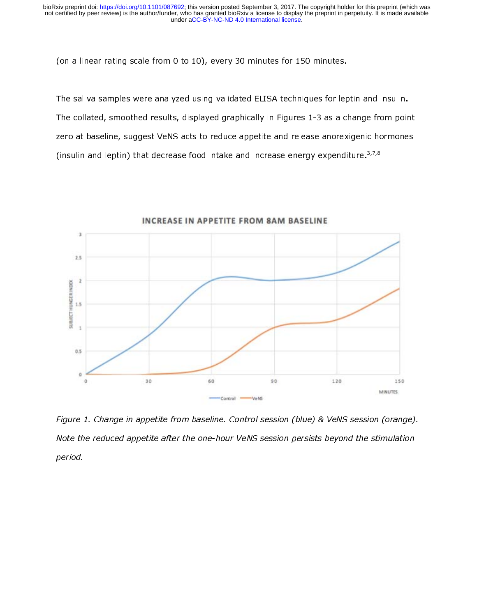(on a linear rating scale from 0 to 10), every 30 minutes for 150 minutes.

The saliva samples were analyzed using validated ELISA techniques for leptin and insulin. The collated, smoothed results, displayed graphically in Figures 1-3 as a change from point zero at baseline, suggest VeNS acts to reduce appetite and release anorexigenic hormones (insulin and leptin) that decrease food intake and increase energy expenditure. $3,7,8$ 



Figure 1. Change in appetite from baseline. Control session (blue) & VeNS session (orange). Note the reduced appetite after the one-hour VeNS session persists beyond the stimulation period.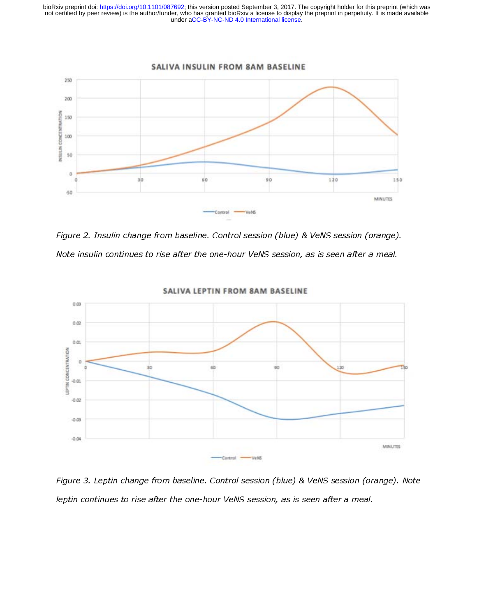

Figure 2. Insulin change from baseline. Control session (blue) & VeNS session (orange). Note insulin continues to rise after the one-hour VeNS session, as is seen after a meal.



SALIVA LEPTIN FROM 8AM BASELINE

Figure 3. Leptin change from baseline. Control session (blue) & VeNS session (orange). Note leptin continues to rise after the one-hour VeNS session, as is seen after a meal.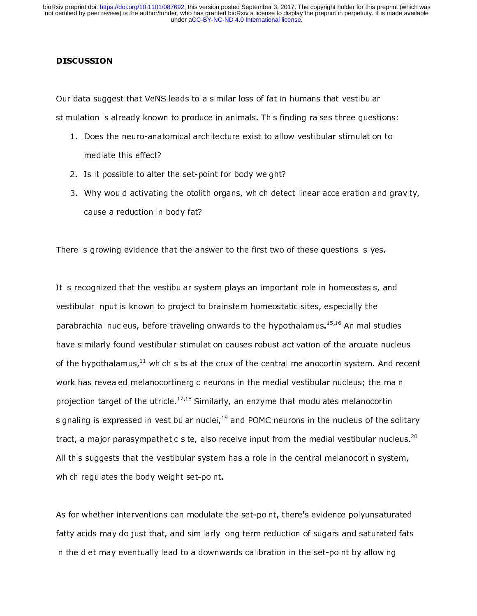### **DISCUSSION**

Our data suggest that VeNS leads to a similar loss of fat in humans that vestibular stimulation is already known to produce in animals. This finding raises three questions:

- 1. Does the neuro-anatomical architecture exist to allow vestibular stimulation to mediate this effect?
- 2. Is it possible to alter the set-point for body weight?
- 3. Why would activating the otolith organs, which detect linear acceleration and gravity, cause a reduction in body fat?

There is growing evidence that the answer to the first two of these questions is yes.

It is recognized that the vestibular system plays an important role in homeostasis, and vestibular input is known to project to brainstem homeostatic sites, especially the parabrachial nucleus, before traveling onwards to the hypothalamus.15,16 Animal studies have similarly found vestibular stimulation causes robust activation of the arcuate nucleus of the hypothalamus, $11$  which sits at the crux of the central melanocortin system. And recent work has revealed melanocortinergic neurons in the medial vestibular nucleus; the main projection target of the utricle.<sup>17,18</sup> Similarly, an enzyme that modulates melanocortin signaling is expressed in vestibular nuclei,<sup>19</sup> and POMC neurons in the nucleus of the solitary tract, a major parasympathetic site, also receive input from the medial vestibular nucleus.<sup>20</sup> All this suggests that the vestibular system has a role in the central melanocortin system, which regulates the body weight set-point.

As for whether interventions can modulate the set-point, there's evidence polyunsaturated fatty acids may do just that, and similarly long term reduction of sugars and saturated fats in the diet may eventually lead to a downwards calibration in the set-point by allowing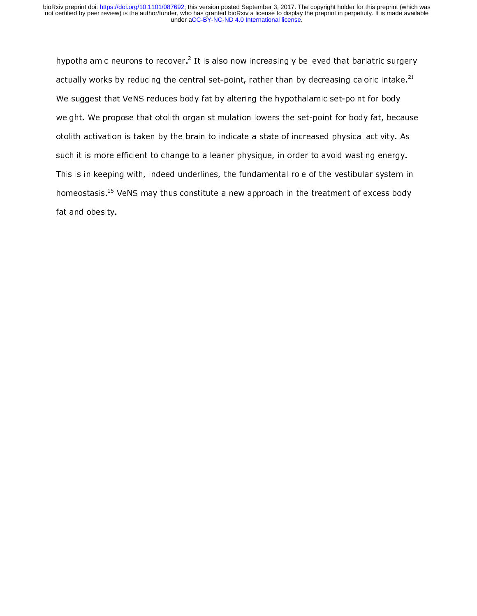hypothalamic neurons to recover. $^{\prime}$  It is also now increasingly believed that bariatric surgery actually works by reducing the central set-point, rather than by decreasing caloric intake.<sup>21</sup> We suggest that VeNS reduces body fat by altering the hypothalamic set-point for body weight. We propose that otolith organ stimulation lowers the set-point for body fat, because otolith activation is taken by the brain to indicate a state of increased physical activity. As such it is more efficient to change to a leaner physique, in order to avoid wasting energy. This is in keeping with, indeed underlines, the fundamental role of the vestibular system in homeostasis.<sup>15</sup> VeNS may thus constitute a new approach in the treatment of excess body fat and obesity.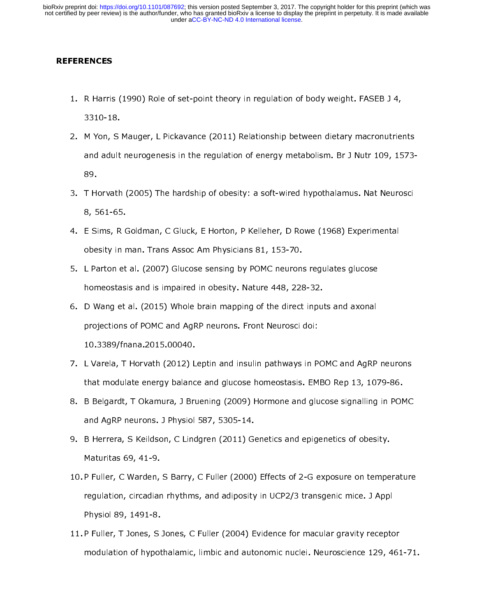### **REFERENCES**

- 1. R Harris (1990) Role of set-point theory in regulation of body weight. FASEB J 4, 3310-18.
- 2. M Yon, S Mauger, L Pickavance (2011) Relationship between dietary macronutrients and adult neurogenesis in the regulation of energy metabolism. Br J Nutr 109, 1573- 89.
- 3. T Horvath (2005) The hardship of obesity: a soft-wired hypothalamus. Nat Neurosci 8, 561-65.
- 4. E Sims, R Goldman, C Gluck, E Horton, P Kelleher, D Rowe (1968) Experimental obesity in man. Trans Assoc Am Physicians 81, 153-70.
- 5. L Parton et al. (2007) Glucose sensing by POMC neurons regulates glucose homeostasis and is impaired in obesity. Nature 448, 228-32.
- 6. D Wang et al. (2015) Whole brain mapping of the direct inputs and axonal projections of POMC and AgRP neurons. Front Neurosci doi: 10.3389/fnana.2015.00040.
- 7. L Varela, T Horvath (2012) Leptin and insulin pathways in POMC and AgRP neurons that modulate energy balance and glucose homeostasis. EMBO Rep 13, 1079-86.
- 8. B Belgardt, T Okamura, J Bruening (2009) Hormone and glucose signalling in POMC and AgRP neurons. J Physiol 587, 5305-14.
- 9. B Herrera, S Keildson, C Lindgren (2011) Genetics and epigenetics of obesity. Maturitas 69, 41-9.
- 10.P Fuller, C Warden, S Barry, C Fuller (2000) Effects of 2-G exposure on temperature regulation, circadian rhythms, and adiposity in UCP2/3 transgenic mice. J Appl Physiol 89, 1491-8.
- 11.P Fuller, T Jones, S Jones, C Fuller (2004) Evidence for macular gravity receptor modulation of hypothalamic, limbic and autonomic nuclei. Neuroscience 129, 461-71.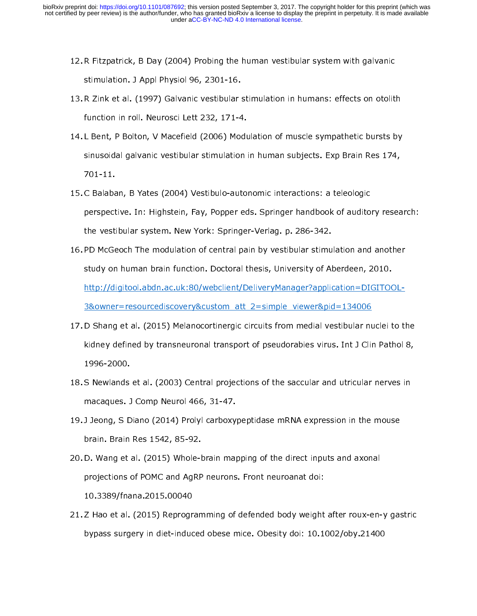- 12.R Fitzpatrick, B Day (2004) Probing the human vestibular system with galvanic stimulation. J Appl Physiol 96, 2301-16.
- 13.R Zink et al. (1997) Galvanic vestibular stimulation in humans: effects on otolith function in roll. Neurosci Lett 232, 171-4.
- 14. L Bent, P Bolton, V Macefield (2006) Modulation of muscle sympathetic bursts by sinusoidal galvanic vestibular stimulation in human subjects. Exp Brain Res 174, 701-11.
- 15.C Balaban, B Yates (2004) Vestibulo-autonomic interactions: a teleologic perspective. In: Highstein, Fay, Popper eds. Springer handbook of auditory research: the vestibular system. New York: Springer-Verlag. p. 286-342.
- 16.PD McGeoch The modulation of central pain by vestibular stimulation and another study on human brain function. Doctoral thesis, University of Aberdeen, 2010. http://digitool.abdn.ac.uk:80/webclient/DeliveryManager?application=DIGITOOL-3&owner=resourcediscovery&custom\_att\_2=simple\_viewer&pid=134006
- 17.D Shang et al. (2015) Melanocortinergic circuits from medial vestibular nuclei to the kidney defined by transneuronal transport of pseudorabies virus. Int J Clin Pathol 8, 1996-2000.
- 18.S Newlands et al. (2003) Central projections of the saccular and utricular nerves in macaques. J Comp Neurol 466, 31-47.
- 19. J Jeong, S Diano (2014) Prolyl carboxypeptidase mRNA expression in the mouse brain. Brain Res 1542, 85-92.
- 20.D. Wang et al. (2015) Whole-brain mapping of the direct inputs and axonal projections of POMC and AgRP neurons. Front neuroanat doi: 10.3389/fnana.2015.00040
- 21.Z Hao et al. (2015) Reprogramming of defended body weight after roux-en-y gastric bypass surgery in diet-induced obese mice. Obesity doi: 10.1002/oby.21400